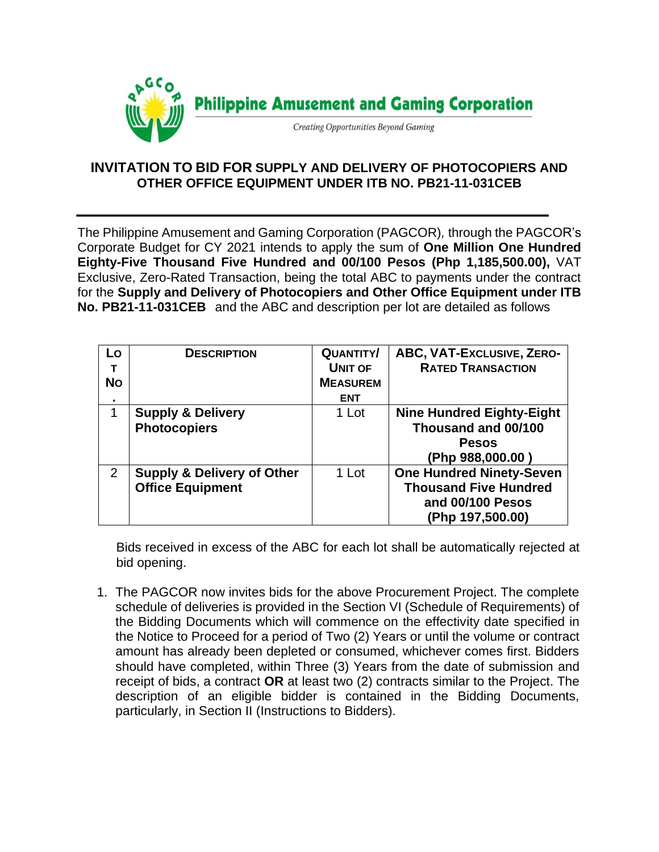

## **INVITATION TO BID FOR SUPPLY AND DELIVERY OF PHOTOCOPIERS AND OTHER OFFICE EQUIPMENT UNDER ITB NO. PB21-11-031CEB**

The Philippine Amusement and Gaming Corporation (PAGCOR)*,* through the PAGCOR's Corporate Budget for CY 2021 intends to apply the sum of **One Million One Hundred Eighty-Five Thousand Five Hundred and 00/100 Pesos (Php 1,185,500.00),** VAT Exclusive, Zero-Rated Transaction, being the total ABC to payments under the contract for the **Supply and Delivery of Photocopiers and Other Office Equipment under ITB No. PB21-11-031CEB** and the ABC and description per lot are detailed as follows

| Lo<br>т        | <b>DESCRIPTION</b>                    | <b>QUANTITY/</b><br><b>UNIT OF</b> | ABC, VAT-Exclusive, ZERO-<br><b>RATED TRANSACTION</b> |
|----------------|---------------------------------------|------------------------------------|-------------------------------------------------------|
| <b>No</b>      |                                       | <b>MEASUREM</b><br><b>ENT</b>      |                                                       |
| $\blacksquare$ |                                       |                                    |                                                       |
| 1              | <b>Supply &amp; Delivery</b>          | 1 Lot                              | <b>Nine Hundred Eighty-Eight</b>                      |
|                | <b>Photocopiers</b>                   |                                    | Thousand and 00/100                                   |
|                |                                       |                                    | <b>Pesos</b>                                          |
|                |                                       |                                    | (Php 988,000.00 )                                     |
| $\overline{2}$ | <b>Supply &amp; Delivery of Other</b> | 1 Lot                              | <b>One Hundred Ninety-Seven</b>                       |
|                | <b>Office Equipment</b>               |                                    | <b>Thousand Five Hundred</b>                          |
|                |                                       |                                    | and 00/100 Pesos                                      |
|                |                                       |                                    | (Php 197,500.00)                                      |

Bids received in excess of the ABC for each lot shall be automatically rejected at bid opening.

1. The PAGCOR now invites bids for the above Procurement Project. The complete schedule of deliveries is provided in the Section VI (Schedule of Requirements) of the Bidding Documents which will commence on the effectivity date specified in the Notice to Proceed for a period of Two (2) Years or until the volume or contract amount has already been depleted or consumed, whichever comes first. Bidders should have completed, within Three (3) Years from the date of submission and receipt of bids, a contract **OR** at least two (2) contracts similar to the Project. The description of an eligible bidder is contained in the Bidding Documents, particularly, in Section II (Instructions to Bidders).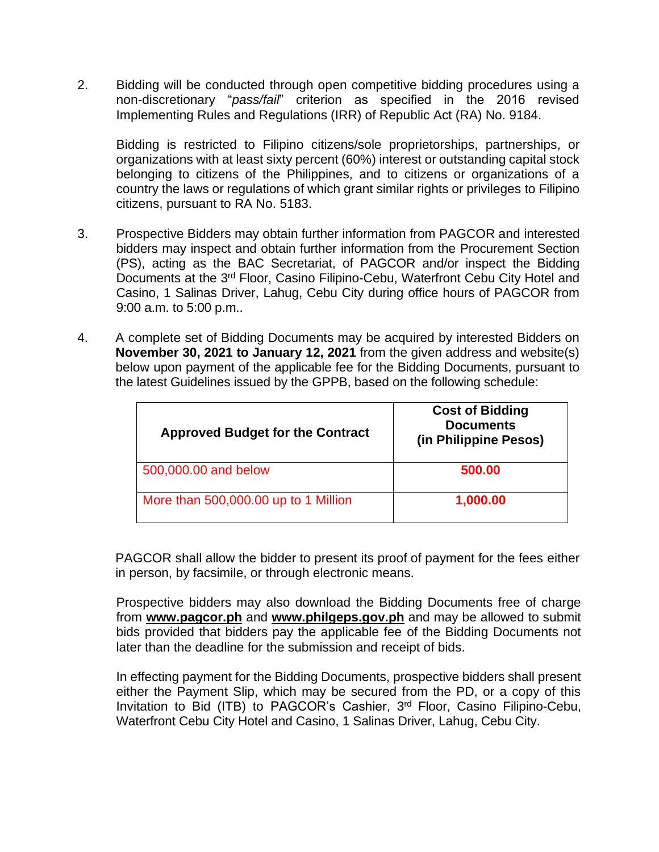2. Bidding will be conducted through open competitive bidding procedures using a non-discretionary "*pass/fail*" criterion as specified in the 2016 revised Implementing Rules and Regulations (IRR) of Republic Act (RA) No. 9184.

Bidding is restricted to Filipino citizens/sole proprietorships, partnerships, or organizations with at least sixty percent (60%) interest or outstanding capital stock belonging to citizens of the Philippines, and to citizens or organizations of a country the laws or regulations of which grant similar rights or privileges to Filipino citizens, pursuant to RA No. 5183.

- 3. Prospective Bidders may obtain further information from PAGCOR and interested bidders may inspect and obtain further information from the Procurement Section (PS), acting as the BAC Secretariat, of PAGCOR and/or inspect the Bidding Documents at the 3<sup>rd</sup> Floor, Casino Filipino-Cebu, Waterfront Cebu City Hotel and Casino, 1 Salinas Driver, Lahug, Cebu City during office hours of PAGCOR from 9:00 a.m. to 5:00 p.m..
- 4. A complete set of Bidding Documents may be acquired by interested Bidders on **November 30, 2021 to January 12, 2021** from the given address and website(s) below upon payment of the applicable fee for the Bidding Documents, pursuant to the latest Guidelines issued by the GPPB, based on the following schedule:

| <b>Approved Budget for the Contract</b> | <b>Cost of Bidding</b><br><b>Documents</b><br>(in Philippine Pesos) |
|-----------------------------------------|---------------------------------------------------------------------|
| 500,000.00 and below                    | 500.00                                                              |
| More than 500,000.00 up to 1 Million    | 1,000.00                                                            |

PAGCOR shall allow the bidder to present its proof of payment for the fees either in person, by facsimile, or through electronic means.

Prospective bidders may also download the Bidding Documents free of charge from **[www.pagcor.ph](http://www.pagcor.ph/)** and **www.philgeps.gov.ph** and may be allowed to submit bids provided that bidders pay the applicable fee of the Bidding Documents not later than the deadline for the submission and receipt of bids.

In effecting payment for the Bidding Documents, prospective bidders shall present either the Payment Slip, which may be secured from the PD, or a copy of this Invitation to Bid (ITB) to PAGCOR's Cashier, 3<sup>rd</sup> Floor, Casino Filipino-Cebu, Waterfront Cebu City Hotel and Casino, 1 Salinas Driver, Lahug, Cebu City.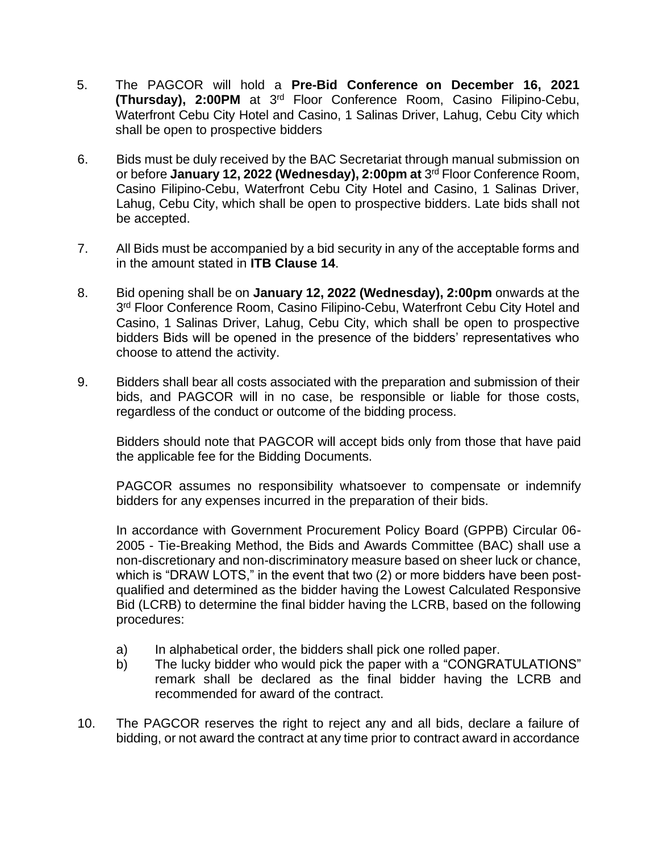- 5. The PAGCOR will hold a **Pre-Bid Conference on December 16, 2021 (Thursday), 2:00PM** at 3<sup>rd</sup> Floor Conference Room, Casino Filipino-Cebu, Waterfront Cebu City Hotel and Casino, 1 Salinas Driver, Lahug, Cebu City which shall be open to prospective bidders
- 6. Bids must be duly received by the BAC Secretariat through manual submission on or before **January 12, 2022 (Wednesday), 2:00pm at** 3 rd Floor Conference Room, Casino Filipino-Cebu, Waterfront Cebu City Hotel and Casino, 1 Salinas Driver, Lahug, Cebu City, which shall be open to prospective bidders. Late bids shall not be accepted.
- 7. All Bids must be accompanied by a bid security in any of the acceptable forms and in the amount stated in **ITB Clause 14**.
- 8. Bid opening shall be on **January 12, 2022 (Wednesday), 2:00pm** onwards at the 3<sup>rd</sup> Floor Conference Room, Casino Filipino-Cebu, Waterfront Cebu City Hotel and Casino, 1 Salinas Driver, Lahug, Cebu City, which shall be open to prospective bidders Bids will be opened in the presence of the bidders' representatives who choose to attend the activity.
- 9. Bidders shall bear all costs associated with the preparation and submission of their bids, and PAGCOR will in no case, be responsible or liable for those costs, regardless of the conduct or outcome of the bidding process.

Bidders should note that PAGCOR will accept bids only from those that have paid the applicable fee for the Bidding Documents.

PAGCOR assumes no responsibility whatsoever to compensate or indemnify bidders for any expenses incurred in the preparation of their bids.

In accordance with Government Procurement Policy Board (GPPB) Circular 06- 2005 - Tie-Breaking Method, the Bids and Awards Committee (BAC) shall use a non-discretionary and non-discriminatory measure based on sheer luck or chance, which is "DRAW LOTS," in the event that two (2) or more bidders have been postqualified and determined as the bidder having the Lowest Calculated Responsive Bid (LCRB) to determine the final bidder having the LCRB, based on the following procedures:

- a) In alphabetical order, the bidders shall pick one rolled paper.
- b) The lucky bidder who would pick the paper with a "CONGRATULATIONS" remark shall be declared as the final bidder having the LCRB and recommended for award of the contract.
- 10. The PAGCOR reserves the right to reject any and all bids, declare a failure of bidding, or not award the contract at any time prior to contract award in accordance